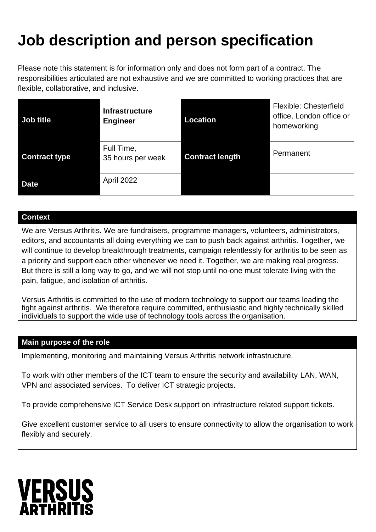### **Job description and person specification**

Please note this statement is for information only and does not form part of a contract. The responsibilities articulated are not exhaustive and we are committed to working practices that are flexible, collaborative, and inclusive.

| Job title            | <b>Infrastructure</b><br><b>Engineer</b> | <b>Location</b>        | Flexible: Chesterfield<br>office, London office or<br>homeworking |
|----------------------|------------------------------------------|------------------------|-------------------------------------------------------------------|
| <b>Contract type</b> | Full Time,<br>35 hours per week          | <b>Contract length</b> | Permanent                                                         |
| <b>Date</b>          | April 2022                               |                        |                                                                   |

#### **Context**

We are Versus Arthritis. We are fundraisers, programme managers, volunteers, administrators, editors, and accountants all doing everything we can to push back against arthritis. Together, we will continue to develop breakthrough treatments, campaign relentlessly for arthritis to be seen as a priority and support each other whenever we need it. Together, we are making real progress. But there is still a long way to go, and we will not stop until no-one must tolerate living with the pain, fatigue, and isolation of arthritis.

Versus Arthritis is committed to the use of modern technology to support our teams leading the fight against arthritis. We therefore require committed, enthusiastic and highly technically skilled individuals to support the wide use of technology tools across the organisation.

#### **Main purpose of the role**

Implementing, monitoring and maintaining Versus Arthritis network infrastructure.

To work with other members of the ICT team to ensure the security and availability LAN, WAN, VPN and associated services. To deliver ICT strategic projects.

To provide comprehensive ICT Service Desk support on infrastructure related support tickets.

Give excellent customer service to all users to ensure connectivity to allow the organisation to work flexibly and securely.

### **VERSUS** АРТИР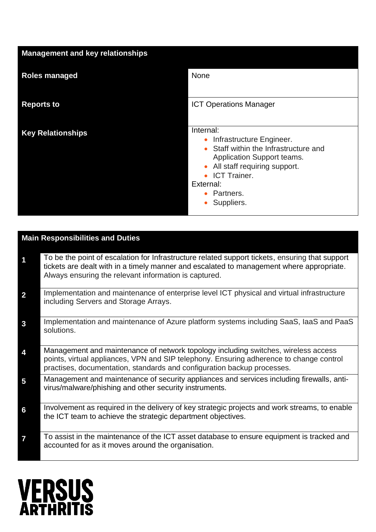| <b>Management and key relationships</b> |                                                                                                                                                                                                                                                                      |  |
|-----------------------------------------|----------------------------------------------------------------------------------------------------------------------------------------------------------------------------------------------------------------------------------------------------------------------|--|
| <b>Roles managed</b>                    | None                                                                                                                                                                                                                                                                 |  |
| <b>Reports to</b>                       | <b>ICT Operations Manager</b>                                                                                                                                                                                                                                        |  |
| <b>Key Relationships</b>                | Internal:<br>Infrastructure Engineer.<br>$\bullet$<br>• Staff within the Infrastructure and<br>Application Support teams.<br>All staff requiring support.<br>$\bullet$<br><b>ICT Trainer.</b><br>$\bullet$<br>External:<br>Partners.<br>۰<br>Suppliers.<br>$\bullet$ |  |

| <b>Main Responsibilities and Duties</b> |                                                                                                                                                                                                                                                          |  |
|-----------------------------------------|----------------------------------------------------------------------------------------------------------------------------------------------------------------------------------------------------------------------------------------------------------|--|
| 1                                       | To be the point of escalation for Infrastructure related support tickets, ensuring that support<br>tickets are dealt with in a timely manner and escalated to management where appropriate.<br>Always ensuring the relevant information is captured.     |  |
| $\overline{2}$                          | Implementation and maintenance of enterprise level ICT physical and virtual infrastructure<br>including Servers and Storage Arrays.                                                                                                                      |  |
| $\mathbf{3}$                            | Implementation and maintenance of Azure platform systems including SaaS, IaaS and PaaS<br>solutions.                                                                                                                                                     |  |
| 4                                       | Management and maintenance of network topology including switches, wireless access<br>points, virtual appliances, VPN and SIP telephony. Ensuring adherence to change control<br>practises, documentation, standards and configuration backup processes. |  |
| 5                                       | Management and maintenance of security appliances and services including firewalls, anti-<br>virus/malware/phishing and other security instruments.                                                                                                      |  |
| 6                                       | Involvement as required in the delivery of key strategic projects and work streams, to enable<br>the ICT team to achieve the strategic department objectives.                                                                                            |  |
| $\overline{\mathbf{7}}$                 | To assist in the maintenance of the ICT asset database to ensure equipment is tracked and<br>accounted for as it moves around the organisation.                                                                                                          |  |

# **VERSUS<br>ARTHRITIS**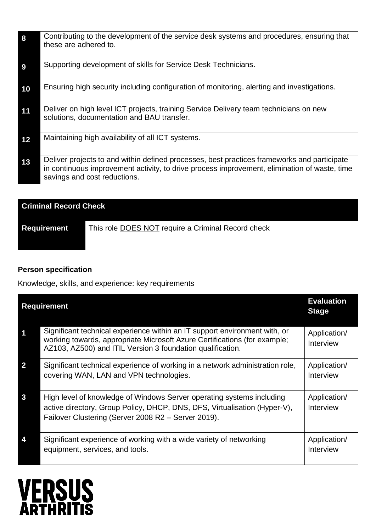| 8  | Contributing to the development of the service desk systems and procedures, ensuring that<br>these are adhered to.                                                                                                          |
|----|-----------------------------------------------------------------------------------------------------------------------------------------------------------------------------------------------------------------------------|
| 9  | Supporting development of skills for Service Desk Technicians.                                                                                                                                                              |
| 10 | Ensuring high security including configuration of monitoring, alerting and investigations.                                                                                                                                  |
| 11 | Deliver on high level ICT projects, training Service Delivery team technicians on new<br>solutions, documentation and BAU transfer.                                                                                         |
| 12 | Maintaining high availability of all ICT systems.                                                                                                                                                                           |
| 13 | Deliver projects to and within defined processes, best practices frameworks and participate<br>in continuous improvement activity, to drive process improvement, elimination of waste, time<br>savings and cost reductions. |

| <b>Criminal Record Check</b> |                                                           |  |
|------------------------------|-----------------------------------------------------------|--|
| <b>Requirement</b>           | This role <b>DOES NOT</b> require a Criminal Record check |  |
|                              |                                                           |  |

#### **Person specification**

Knowledge, skills, and experience: key requirements

| <b>Requirement</b> |                                                                                                                                                                                                                       | <b>Evaluation</b><br><b>Stage</b> |
|--------------------|-----------------------------------------------------------------------------------------------------------------------------------------------------------------------------------------------------------------------|-----------------------------------|
|                    | Significant technical experience within an IT support environment with, or<br>working towards, appropriate Microsoft Azure Certifications (for example;<br>AZ103, AZ500) and ITIL Version 3 foundation qualification. | Application/<br>Interview         |
| 2                  | Significant technical experience of working in a network administration role,<br>covering WAN, LAN and VPN technologies.                                                                                              | Application/<br>Interview         |
| 3                  | High level of knowledge of Windows Server operating systems including<br>active directory, Group Policy, DHCP, DNS, DFS, Virtualisation (Hyper-V),<br>Failover Clustering (Server 2008 R2 - Server 2019).             | Application/<br>Interview         |
|                    | Significant experience of working with a wide variety of networking<br>equipment, services, and tools.                                                                                                                | Application/<br>Interview         |

## **VERSUS<br>ARTHRITIS**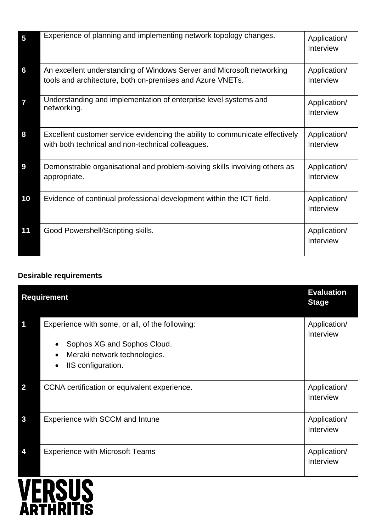| $\overline{5}$ | Experience of planning and implementing network topology changes.                                                                  | Application/<br>Interview |
|----------------|------------------------------------------------------------------------------------------------------------------------------------|---------------------------|
| 6              | An excellent understanding of Windows Server and Microsoft networking<br>tools and architecture, both on-premises and Azure VNETs. | Application/<br>Interview |
| $\overline{7}$ | Understanding and implementation of enterprise level systems and<br>networking.                                                    | Application/<br>Interview |
| 8              | Excellent customer service evidencing the ability to communicate effectively<br>with both technical and non-technical colleagues.  | Application/<br>Interview |
| 9              | Demonstrable organisational and problem-solving skills involving others as<br>appropriate.                                         | Application/<br>Interview |
| 10             | Evidence of continual professional development within the ICT field.                                                               | Application/<br>Interview |
| 11             | Good Powershell/Scripting skills.                                                                                                  | Application/<br>Interview |

#### **Desirable requirements**

| <b>Requirement</b> |                                                                                                                                      | <b>Evaluation</b><br><b>Stage</b> |
|--------------------|--------------------------------------------------------------------------------------------------------------------------------------|-----------------------------------|
| 1                  | Experience with some, or all, of the following:<br>Sophos XG and Sophos Cloud.<br>Meraki network technologies.<br>IIS configuration. | Application/<br>Interview         |
| $\overline{2}$     | CCNA certification or equivalent experience.                                                                                         | Application/<br>Interview         |
| 3                  | Experience with SCCM and Intune                                                                                                      | Application/<br>Interview         |
| 4                  | <b>Experience with Microsoft Teams</b>                                                                                               | Application/<br>Interview         |

## **VERSUS**<br>ARTHRITIS